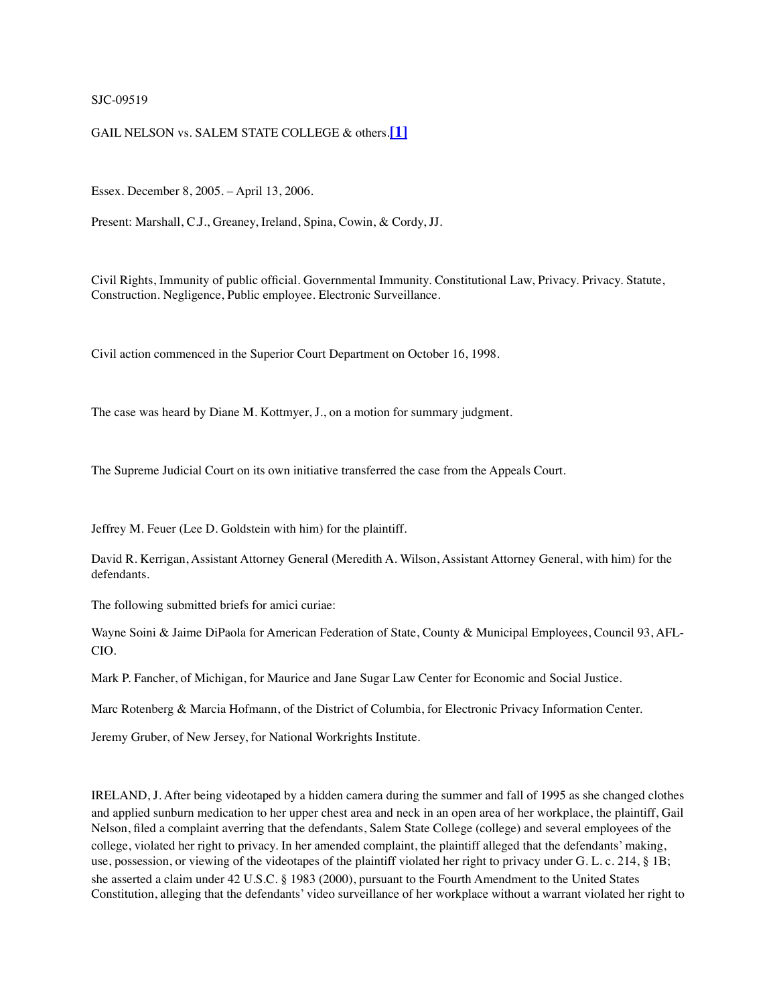#### SJC-09519

#### GAIL NELSON vs. SALEM STATE COLLEGE & others.**[\[1\]](https://masslawyersweekly.com/fulltext-opinions/2006/04/17/nelson-v-salem-state-college-et-al/#fn1)**

Essex. December 8, 2005. – April 13, 2006.

Present: Marshall, C.J., Greaney, Ireland, Spina, Cowin, & Cordy, JJ.

Civil Rights, Immunity of public official. Governmental Immunity. Constitutional Law, Privacy. Privacy. Statute, Construction. Negligence, Public employee. Electronic Surveillance.

Civil action commenced in the Superior Court Department on October 16, 1998.

The case was heard by Diane M. Kottmyer, J., on a motion for summary judgment.

The Supreme Judicial Court on its own initiative transferred the case from the Appeals Court.

Jeffrey M. Feuer (Lee D. Goldstein with him) for the plaintiff.

David R. Kerrigan, Assistant Attorney General (Meredith A. Wilson, Assistant Attorney General, with him) for the defendants.

The following submitted briefs for amici curiae:

Wayne Soini & Jaime DiPaola for American Federation of State, County & Municipal Employees, Council 93, AFL-CIO.

Mark P. Fancher, of Michigan, for Maurice and Jane Sugar Law Center for Economic and Social Justice.

Marc Rotenberg & Marcia Hofmann, of the District of Columbia, for Electronic Privacy Information Center.

Jeremy Gruber, of New Jersey, for National Workrights Institute.

IRELAND, J. After being videotaped by a hidden camera during the summer and fall of 1995 as she changed clothes and applied sunburn medication to her upper chest area and neck in an open area of her workplace, the plaintiff, Gail Nelson, filed a complaint averring that the defendants, Salem State College (college) and several employees of the college, violated her right to privacy. In her amended complaint, the plaintiff alleged that the defendants' making, use, possession, or viewing of the videotapes of the plaintiff violated her right to privacy under G. L. c. 214, § 1B; she asserted a claim under 42 U.S.C. § 1983 (2000), pursuant to the Fourth Amendment to the United States Constitution, alleging that the defendants' video surveillance of her workplace without a warrant violated her right to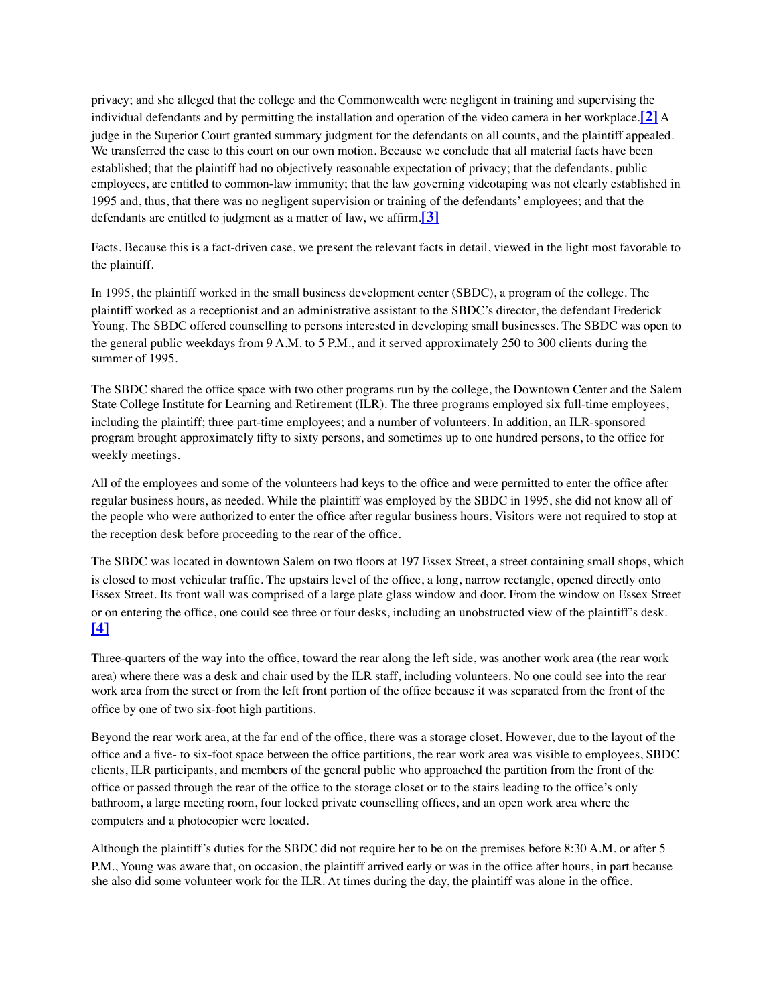privacy; and she alleged that the college and the Commonwealth were negligent in training and supervising the individual defendants and by permitting the installation and operation of the video camera in her workplace.**[\[2\]](https://masslawyersweekly.com/fulltext-opinions/2006/04/17/nelson-v-salem-state-college-et-al/#fn2)** A judge in the Superior Court granted summary judgment for the defendants on all counts, and the plaintiff appealed. We transferred the case to this court on our own motion. Because we conclude that all material facts have been established; that the plaintiff had no objectively reasonable expectation of privacy; that the defendants, public employees, are entitled to common-law immunity; that the law governing videotaping was not clearly established in 1995 and, thus, that there was no negligent supervision or training of the defendants' employees; and that the defendants are entitled to judgment as a matter of law, we affirm.**[\[3\]](https://masslawyersweekly.com/fulltext-opinions/2006/04/17/nelson-v-salem-state-college-et-al/#fn3)**

Facts. Because this is a fact-driven case, we present the relevant facts in detail, viewed in the light most favorable to the plaintiff.

In 1995, the plaintiff worked in the small business development center (SBDC), a program of the college. The plaintiff worked as a receptionist and an administrative assistant to the SBDC's director, the defendant Frederick Young. The SBDC offered counselling to persons interested in developing small businesses. The SBDC was open to the general public weekdays from 9 A.M. to 5 P.M., and it served approximately 250 to 300 clients during the summer of 1995.

The SBDC shared the office space with two other programs run by the college, the Downtown Center and the Salem State College Institute for Learning and Retirement (ILR). The three programs employed six full-time employees, including the plaintiff; three part-time employees; and a number of volunteers. In addition, an ILR-sponsored program brought approximately fifty to sixty persons, and sometimes up to one hundred persons, to the office for weekly meetings.

All of the employees and some of the volunteers had keys to the office and were permitted to enter the office after regular business hours, as needed. While the plaintiff was employed by the SBDC in 1995, she did not know all of the people who were authorized to enter the office after regular business hours. Visitors were not required to stop at the reception desk before proceeding to the rear of the office.

The SBDC was located in downtown Salem on two floors at 197 Essex Street, a street containing small shops, which is closed to most vehicular traffic. The upstairs level of the office, a long, narrow rectangle, opened directly onto Essex Street. Its front wall was comprised of a large plate glass window and door. From the window on Essex Street or on entering the office, one could see three or four desks, including an unobstructed view of the plaintiff's desk. **[\[4\]](https://masslawyersweekly.com/fulltext-opinions/2006/04/17/nelson-v-salem-state-college-et-al/#fn4)**

Three-quarters of the way into the office, toward the rear along the left side, was another work area (the rear work area) where there was a desk and chair used by the ILR staff, including volunteers. No one could see into the rear work area from the street or from the left front portion of the office because it was separated from the front of the office by one of two six-foot high partitions.

Beyond the rear work area, at the far end of the office, there was a storage closet. However, due to the layout of the office and a five- to six-foot space between the office partitions, the rear work area was visible to employees, SBDC clients, ILR participants, and members of the general public who approached the partition from the front of the office or passed through the rear of the office to the storage closet or to the stairs leading to the office's only bathroom, a large meeting room, four locked private counselling offices, and an open work area where the computers and a photocopier were located.

Although the plaintiff's duties for the SBDC did not require her to be on the premises before 8:30 A.M. or after 5 P.M., Young was aware that, on occasion, the plaintiff arrived early or was in the office after hours, in part because she also did some volunteer work for the ILR. At times during the day, the plaintiff was alone in the office.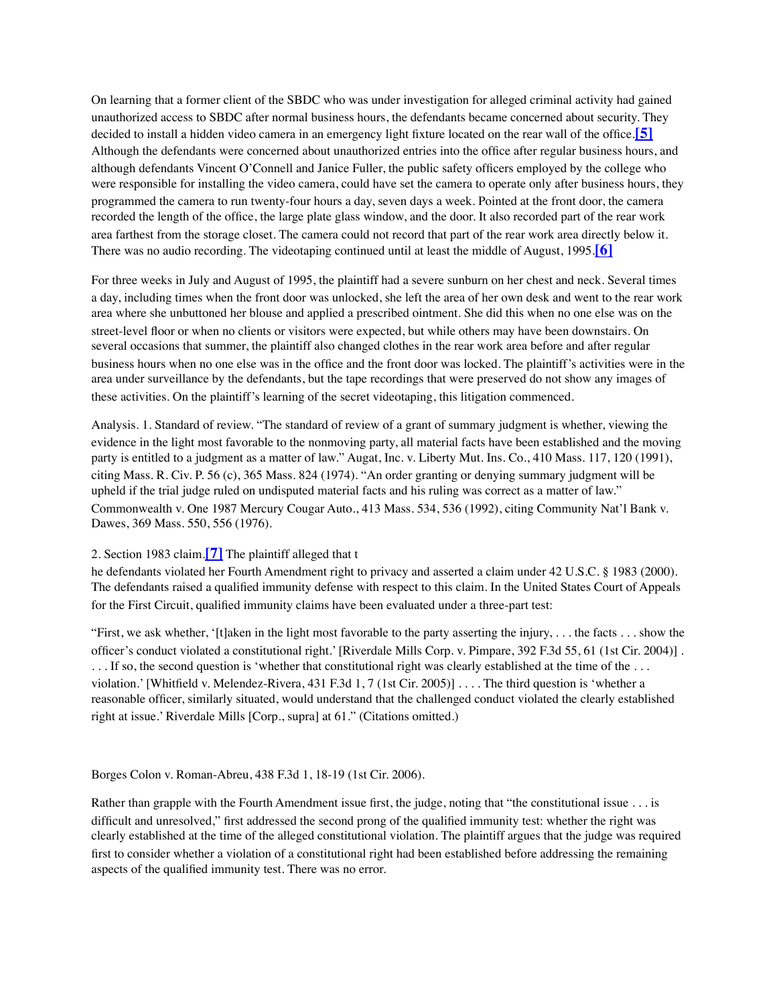On learning that a former client of the SBDC who was under investigation for alleged criminal activity had gained unauthorized access to SBDC after normal business hours, the defendants became concerned about security. They decided to install a hidden video camera in an emergency light fixture located on the rear wall of the office.**[\[5\]](https://masslawyersweekly.com/fulltext-opinions/2006/04/17/nelson-v-salem-state-college-et-al/#fn5)** Although the defendants were concerned about unauthorized entries into the office after regular business hours, and although defendants Vincent O'Connell and Janice Fuller, the public safety officers employed by the college who were responsible for installing the video camera, could have set the camera to operate only after business hours, they programmed the camera to run twenty-four hours a day, seven days a week. Pointed at the front door, the camera recorded the length of the office, the large plate glass window, and the door. It also recorded part of the rear work area farthest from the storage closet. The camera could not record that part of the rear work area directly below it. There was no audio recording. The videotaping continued until at least the middle of August, 1995.**[\[6\]](https://masslawyersweekly.com/fulltext-opinions/2006/04/17/nelson-v-salem-state-college-et-al/#fn6)**

For three weeks in July and August of 1995, the plaintiff had a severe sunburn on her chest and neck. Several times a day, including times when the front door was unlocked, she left the area of her own desk and went to the rear work area where she unbuttoned her blouse and applied a prescribed ointment. She did this when no one else was on the street-level floor or when no clients or visitors were expected, but while others may have been downstairs. On several occasions that summer, the plaintiff also changed clothes in the rear work area before and after regular business hours when no one else was in the office and the front door was locked. The plaintiff's activities were in the area under surveillance by the defendants, but the tape recordings that were preserved do not show any images of these activities. On the plaintiff's learning of the secret videotaping, this litigation commenced.

Analysis. 1. Standard of review. "The standard of review of a grant of summary judgment is whether, viewing the evidence in the light most favorable to the nonmoving party, all material facts have been established and the moving party is entitled to a judgment as a matter of law." Augat, Inc. v. Liberty Mut. Ins. Co., 410 Mass. 117, 120 (1991), citing Mass. R. Civ. P. 56 (c), 365 Mass. 824 (1974). "An order granting or denying summary judgment will be upheld if the trial judge ruled on undisputed material facts and his ruling was correct as a matter of law." Commonwealth v. One 1987 Mercury Cougar Auto., 413 Mass. 534, 536 (1992), citing Community Nat'l Bank v. Dawes, 369 Mass. 550, 556 (1976).

## 2. Section 1983 claim.**[\[7\]](https://masslawyersweekly.com/fulltext-opinions/2006/04/17/nelson-v-salem-state-college-et-al/#fn7)** The plaintiff alleged that t

he defendants violated her Fourth Amendment right to privacy and asserted a claim under 42 U.S.C. § 1983 (2000). The defendants raised a qualified immunity defense with respect to this claim. In the United States Court of Appeals for the First Circuit, qualified immunity claims have been evaluated under a three-part test:

"First, we ask whether, '[t]aken in the light most favorable to the party asserting the injury,  $\dots$  the facts  $\dots$  show the officer's conduct violated a constitutional right.' [Riverdale Mills Corp. v. Pimpare, 392 F.3d 55, 61 (1st Cir. 2004)] . ... If so, the second question is 'whether that constitutional right was clearly established at the time of the ... violation.' [Whitfield v. Melendez-Rivera, 431 F.3d 1, 7 (1st Cir. 2005)] . . . . The third question is 'whether a reasonable officer, similarly situated, would understand that the challenged conduct violated the clearly established right at issue.' Riverdale Mills [Corp., supra] at 61." (Citations omitted.)

Borges Colon v. Roman-Abreu, 438 F.3d 1, 18-19 (1st Cir. 2006).

Rather than grapple with the Fourth Amendment issue first, the judge, noting that "the constitutional issue . . . is difficult and unresolved," first addressed the second prong of the qualified immunity test: whether the right was clearly established at the time of the alleged constitutional violation. The plaintiff argues that the judge was required first to consider whether a violation of a constitutional right had been established before addressing the remaining aspects of the qualified immunity test. There was no error.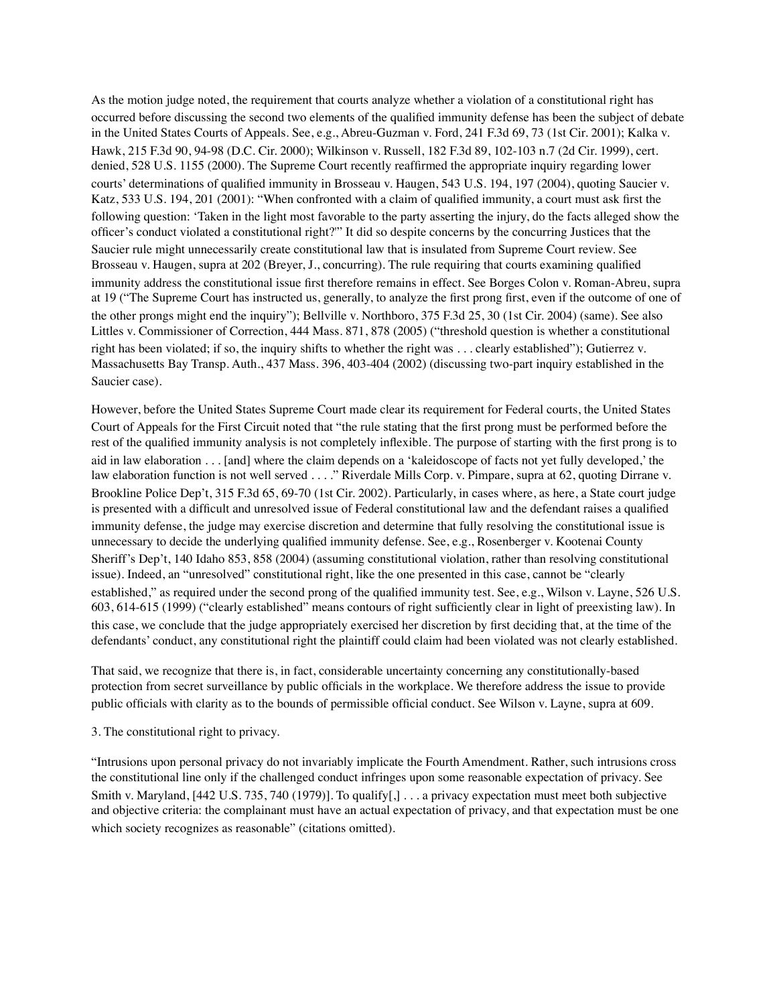As the motion judge noted, the requirement that courts analyze whether a violation of a constitutional right has occurred before discussing the second two elements of the qualified immunity defense has been the subject of debate in the United States Courts of Appeals. See, e.g., Abreu-Guzman v. Ford, 241 F.3d 69, 73 (1st Cir. 2001); Kalka v. Hawk, 215 F.3d 90, 94-98 (D.C. Cir. 2000); Wilkinson v. Russell, 182 F.3d 89, 102-103 n.7 (2d Cir. 1999), cert. denied, 528 U.S. 1155 (2000). The Supreme Court recently reaffirmed the appropriate inquiry regarding lower courts' determinations of qualified immunity in Brosseau v. Haugen, 543 U.S. 194, 197 (2004), quoting Saucier v. Katz, 533 U.S. 194, 201 (2001): "When confronted with a claim of qualified immunity, a court must ask first the following question: 'Taken in the light most favorable to the party asserting the injury, do the facts alleged show the officer's conduct violated a constitutional right?'" It did so despite concerns by the concurring Justices that the Saucier rule might unnecessarily create constitutional law that is insulated from Supreme Court review. See Brosseau v. Haugen, supra at 202 (Breyer, J., concurring). The rule requiring that courts examining qualified immunity address the constitutional issue first therefore remains in effect. See Borges Colon v. Roman-Abreu, supra at 19 ("The Supreme Court has instructed us, generally, to analyze the first prong first, even if the outcome of one of the other prongs might end the inquiry"); Bellville v. Northboro, 375 F.3d 25, 30 (1st Cir. 2004) (same). See also Littles v. Commissioner of Correction, 444 Mass. 871, 878 (2005) ("threshold question is whether a constitutional right has been violated; if so, the inquiry shifts to whether the right was . . . clearly established"); Gutierrez v. Massachusetts Bay Transp. Auth., 437 Mass. 396, 403-404 (2002) (discussing two-part inquiry established in the Saucier case).

However, before the United States Supreme Court made clear its requirement for Federal courts, the United States Court of Appeals for the First Circuit noted that "the rule stating that the first prong must be performed before the rest of the qualified immunity analysis is not completely inflexible. The purpose of starting with the first prong is to aid in law elaboration . . . [and] where the claim depends on a 'kaleidoscope of facts not yet fully developed,' the law elaboration function is not well served . . . ." Riverdale Mills Corp. v. Pimpare, supra at 62, quoting Dirrane v. Brookline Police Dep't, 315 F.3d 65, 69-70 (1st Cir. 2002). Particularly, in cases where, as here, a State court judge is presented with a difficult and unresolved issue of Federal constitutional law and the defendant raises a qualified immunity defense, the judge may exercise discretion and determine that fully resolving the constitutional issue is unnecessary to decide the underlying qualified immunity defense. See, e.g., Rosenberger v. Kootenai County Sheriff's Dep't, 140 Idaho 853, 858 (2004) (assuming constitutional violation, rather than resolving constitutional issue). Indeed, an "unresolved" constitutional right, like the one presented in this case, cannot be "clearly established," as required under the second prong of the qualified immunity test. See, e.g., Wilson v. Layne, 526 U.S. 603, 614-615 (1999) ("clearly established" means contours of right sufficiently clear in light of preexisting law). In this case, we conclude that the judge appropriately exercised her discretion by first deciding that, at the time of the defendants' conduct, any constitutional right the plaintiff could claim had been violated was not clearly established.

That said, we recognize that there is, in fact, considerable uncertainty concerning any constitutionally-based protection from secret surveillance by public officials in the workplace. We therefore address the issue to provide public officials with clarity as to the bounds of permissible official conduct. See Wilson v. Layne, supra at 609.

### 3. The constitutional right to privacy.

"Intrusions upon personal privacy do not invariably implicate the Fourth Amendment. Rather, such intrusions cross the constitutional line only if the challenged conduct infringes upon some reasonable expectation of privacy. See Smith v. Maryland, [442 U.S. 735, 740 (1979)]. To qualify[,] . . . a privacy expectation must meet both subjective and objective criteria: the complainant must have an actual expectation of privacy, and that expectation must be one which society recognizes as reasonable" (citations omitted).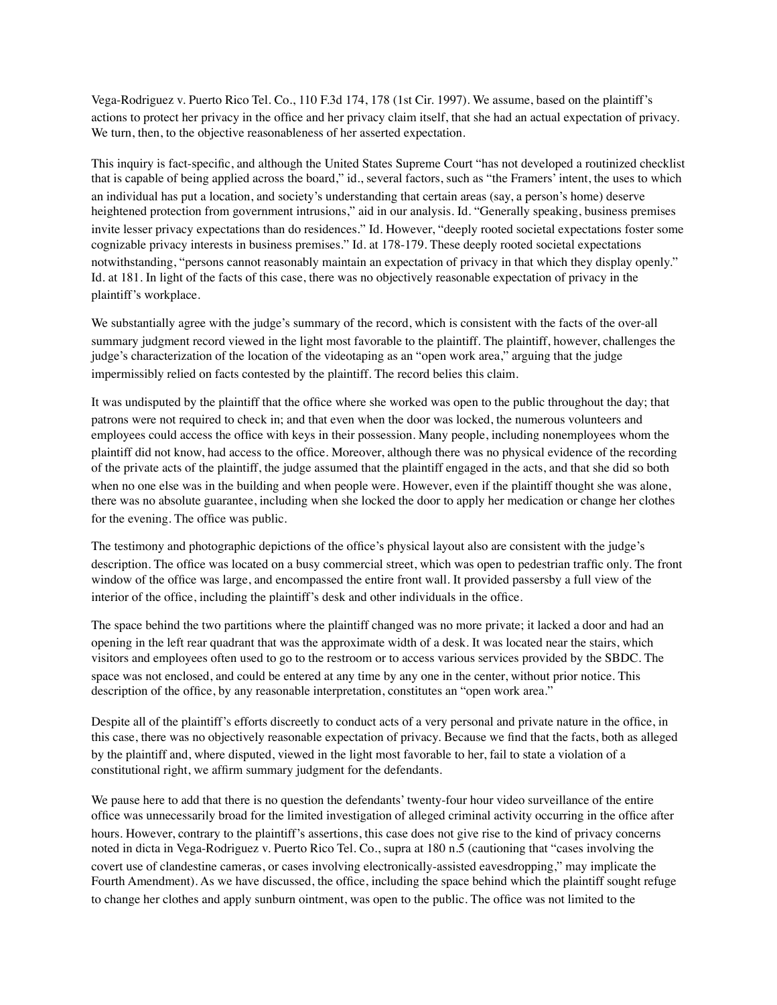Vega-Rodriguez v. Puerto Rico Tel. Co., 110 F.3d 174, 178 (1st Cir. 1997). We assume, based on the plaintiff's actions to protect her privacy in the office and her privacy claim itself, that she had an actual expectation of privacy. We turn, then, to the objective reasonableness of her asserted expectation.

This inquiry is fact-specific, and although the United States Supreme Court "has not developed a routinized checklist that is capable of being applied across the board," id., several factors, such as "the Framers' intent, the uses to which an individual has put a location, and society's understanding that certain areas (say, a person's home) deserve heightened protection from government intrusions," aid in our analysis. Id. "Generally speaking, business premises invite lesser privacy expectations than do residences." Id. However, "deeply rooted societal expectations foster some cognizable privacy interests in business premises." Id. at 178-179. These deeply rooted societal expectations notwithstanding, "persons cannot reasonably maintain an expectation of privacy in that which they display openly." Id. at 181. In light of the facts of this case, there was no objectively reasonable expectation of privacy in the plaintiff's workplace.

We substantially agree with the judge's summary of the record, which is consistent with the facts of the over-all summary judgment record viewed in the light most favorable to the plaintiff. The plaintiff, however, challenges the judge's characterization of the location of the videotaping as an "open work area," arguing that the judge impermissibly relied on facts contested by the plaintiff. The record belies this claim.

It was undisputed by the plaintiff that the office where she worked was open to the public throughout the day; that patrons were not required to check in; and that even when the door was locked, the numerous volunteers and employees could access the office with keys in their possession. Many people, including nonemployees whom the plaintiff did not know, had access to the office. Moreover, although there was no physical evidence of the recording of the private acts of the plaintiff, the judge assumed that the plaintiff engaged in the acts, and that she did so both when no one else was in the building and when people were. However, even if the plaintiff thought she was alone, there was no absolute guarantee, including when she locked the door to apply her medication or change her clothes for the evening. The office was public.

The testimony and photographic depictions of the office's physical layout also are consistent with the judge's description. The office was located on a busy commercial street, which was open to pedestrian traffic only. The front window of the office was large, and encompassed the entire front wall. It provided passersby a full view of the interior of the office, including the plaintiff's desk and other individuals in the office.

The space behind the two partitions where the plaintiff changed was no more private; it lacked a door and had an opening in the left rear quadrant that was the approximate width of a desk. It was located near the stairs, which visitors and employees often used to go to the restroom or to access various services provided by the SBDC. The space was not enclosed, and could be entered at any time by any one in the center, without prior notice. This description of the office, by any reasonable interpretation, constitutes an "open work area."

Despite all of the plaintiff's efforts discreetly to conduct acts of a very personal and private nature in the office, in this case, there was no objectively reasonable expectation of privacy. Because we find that the facts, both as alleged by the plaintiff and, where disputed, viewed in the light most favorable to her, fail to state a violation of a constitutional right, we affirm summary judgment for the defendants.

We pause here to add that there is no question the defendants' twenty-four hour video surveillance of the entire office was unnecessarily broad for the limited investigation of alleged criminal activity occurring in the office after hours. However, contrary to the plaintiff's assertions, this case does not give rise to the kind of privacy concerns noted in dicta in Vega-Rodriguez v. Puerto Rico Tel. Co., supra at 180 n.5 (cautioning that "cases involving the covert use of clandestine cameras, or cases involving electronically-assisted eavesdropping," may implicate the Fourth Amendment). As we have discussed, the office, including the space behind which the plaintiff sought refuge to change her clothes and apply sunburn ointment, was open to the public. The office was not limited to the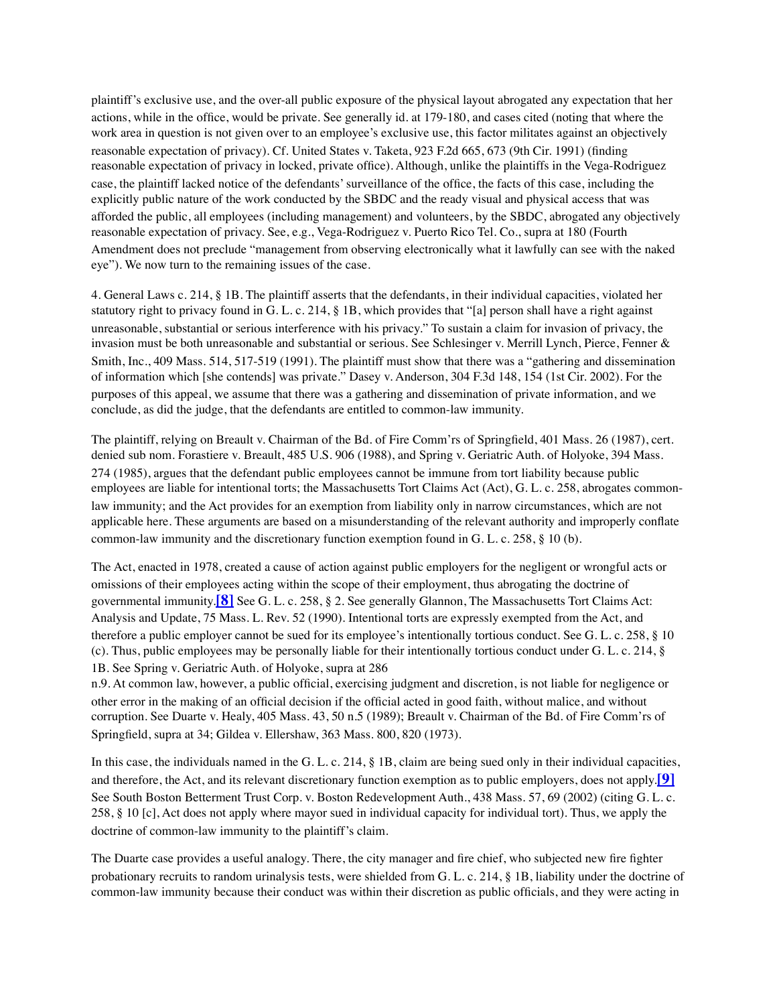plaintiff's exclusive use, and the over-all public exposure of the physical layout abrogated any expectation that her actions, while in the office, would be private. See generally id. at 179-180, and cases cited (noting that where the work area in question is not given over to an employee's exclusive use, this factor militates against an objectively reasonable expectation of privacy). Cf. United States v. Taketa, 923 F.2d 665, 673 (9th Cir. 1991) (finding reasonable expectation of privacy in locked, private office). Although, unlike the plaintiffs in the Vega-Rodriguez case, the plaintiff lacked notice of the defendants' surveillance of the office, the facts of this case, including the explicitly public nature of the work conducted by the SBDC and the ready visual and physical access that was afforded the public, all employees (including management) and volunteers, by the SBDC, abrogated any objectively reasonable expectation of privacy. See, e.g., Vega-Rodriguez v. Puerto Rico Tel. Co., supra at 180 (Fourth Amendment does not preclude "management from observing electronically what it lawfully can see with the naked eye"). We now turn to the remaining issues of the case.

4. General Laws c. 214, § 1B. The plaintiff asserts that the defendants, in their individual capacities, violated her statutory right to privacy found in G. L. c. 214, § 1B, which provides that "[a] person shall have a right against unreasonable, substantial or serious interference with his privacy." To sustain a claim for invasion of privacy, the invasion must be both unreasonable and substantial or serious. See Schlesinger v. Merrill Lynch, Pierce, Fenner & Smith, Inc., 409 Mass. 514, 517-519 (1991). The plaintiff must show that there was a "gathering and dissemination of information which [she contends] was private." Dasey v. Anderson, 304 F.3d 148, 154 (1st Cir. 2002). For the purposes of this appeal, we assume that there was a gathering and dissemination of private information, and we conclude, as did the judge, that the defendants are entitled to common-law immunity.

The plaintiff, relying on Breault v. Chairman of the Bd. of Fire Comm'rs of Springfield, 401 Mass. 26 (1987), cert. denied sub nom. Forastiere v. Breault, 485 U.S. 906 (1988), and Spring v. Geriatric Auth. of Holyoke, 394 Mass. 274 (1985), argues that the defendant public employees cannot be immune from tort liability because public employees are liable for intentional torts; the Massachusetts Tort Claims Act (Act), G. L. c. 258, abrogates commonlaw immunity; and the Act provides for an exemption from liability only in narrow circumstances, which are not applicable here. These arguments are based on a misunderstanding of the relevant authority and improperly conflate common-law immunity and the discretionary function exemption found in G. L. c. 258, § 10 (b).

The Act, enacted in 1978, created a cause of action against public employers for the negligent or wrongful acts or omissions of their employees acting within the scope of their employment, thus abrogating the doctrine of governmental immunity.**[\[8\]](https://masslawyersweekly.com/fulltext-opinions/2006/04/17/nelson-v-salem-state-college-et-al/#fn8)** See G. L. c. 258, § 2. See generally Glannon, The Massachusetts Tort Claims Act: Analysis and Update, 75 Mass. L. Rev. 52 (1990). Intentional torts are expressly exempted from the Act, and therefore a public employer cannot be sued for its employee's intentionally tortious conduct. See G. L. c. 258, § 10 (c). Thus, public employees may be personally liable for their intentionally tortious conduct under G. L. c. 214, § 1B. See Spring v. Geriatric Auth. of Holyoke, supra at 286

n.9. At common law, however, a public official, exercising judgment and discretion, is not liable for negligence or other error in the making of an official decision if the official acted in good faith, without malice, and without corruption. See Duarte v. Healy, 405 Mass. 43, 50 n.5 (1989); Breault v. Chairman of the Bd. of Fire Comm'rs of Springfield, supra at 34; Gildea v. Ellershaw, 363 Mass. 800, 820 (1973).

In this case, the individuals named in the G. L. c. 214, § 1B, claim are being sued only in their individual capacities, and therefore, the Act, and its relevant discretionary function exemption as to public employers, does not apply.**[\[9\]](https://masslawyersweekly.com/fulltext-opinions/2006/04/17/nelson-v-salem-state-college-et-al/#fn9)** See South Boston Betterment Trust Corp. v. Boston Redevelopment Auth., 438 Mass. 57, 69 (2002) (citing G. L. c. 258, § 10 [c], Act does not apply where mayor sued in individual capacity for individual tort). Thus, we apply the doctrine of common-law immunity to the plaintiff's claim.

The Duarte case provides a useful analogy. There, the city manager and fire chief, who subjected new fire fighter probationary recruits to random urinalysis tests, were shielded from G. L. c. 214, § 1B, liability under the doctrine of common-law immunity because their conduct was within their discretion as public officials, and they were acting in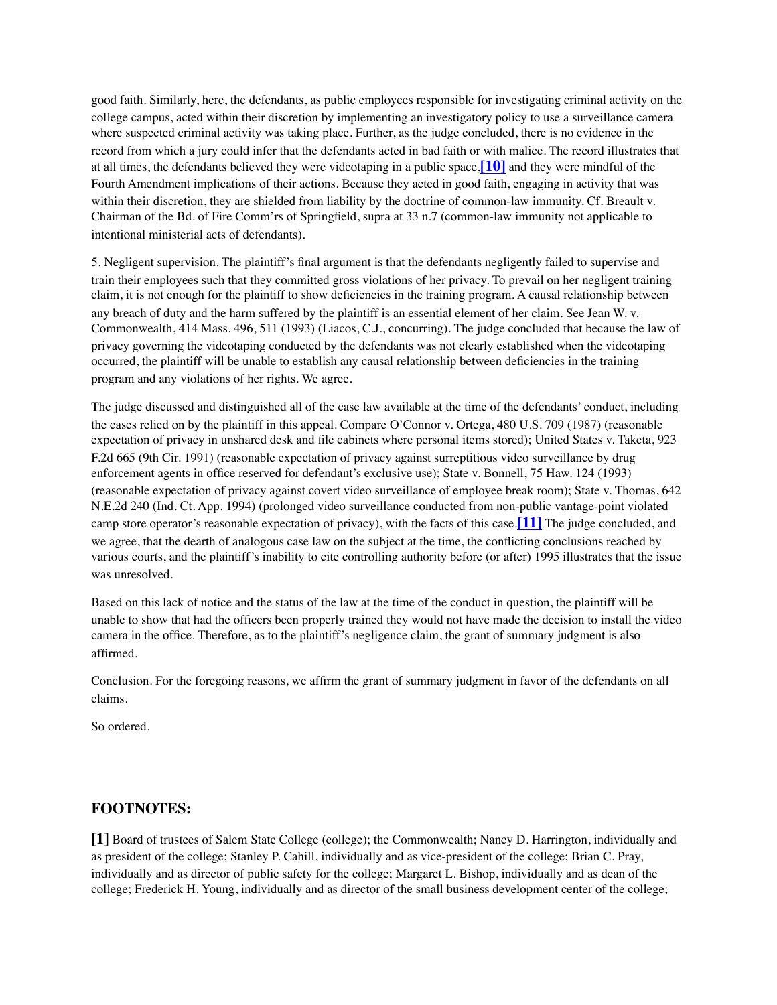good faith. Similarly, here, the defendants, as public employees responsible for investigating criminal activity on the college campus, acted within their discretion by implementing an investigatory policy to use a surveillance camera where suspected criminal activity was taking place. Further, as the judge concluded, there is no evidence in the record from which a jury could infer that the defendants acted in bad faith or with malice. The record illustrates that at all times, the defendants believed they were videotaping in a public space,**[\[10\]](https://masslawyersweekly.com/fulltext-opinions/2006/04/17/nelson-v-salem-state-college-et-al/#fn10)** and they were mindful of the Fourth Amendment implications of their actions. Because they acted in good faith, engaging in activity that was within their discretion, they are shielded from liability by the doctrine of common-law immunity. Cf. Breault v. Chairman of the Bd. of Fire Comm'rs of Springfield, supra at 33 n.7 (common-law immunity not applicable to intentional ministerial acts of defendants).

5. Negligent supervision. The plaintiff's final argument is that the defendants negligently failed to supervise and train their employees such that they committed gross violations of her privacy. To prevail on her negligent training claim, it is not enough for the plaintiff to show deficiencies in the training program. A causal relationship between any breach of duty and the harm suffered by the plaintiff is an essential element of her claim. See Jean W. v. Commonwealth, 414 Mass. 496, 511 (1993) (Liacos, C.J., concurring). The judge concluded that because the law of privacy governing the videotaping conducted by the defendants was not clearly established when the videotaping occurred, the plaintiff will be unable to establish any causal relationship between deficiencies in the training program and any violations of her rights. We agree.

The judge discussed and distinguished all of the case law available at the time of the defendants' conduct, including the cases relied on by the plaintiff in this appeal. Compare O'Connor v. Ortega, 480 U.S. 709 (1987) (reasonable expectation of privacy in unshared desk and file cabinets where personal items stored); United States v. Taketa, 923 F.2d 665 (9th Cir. 1991) (reasonable expectation of privacy against surreptitious video surveillance by drug enforcement agents in office reserved for defendant's exclusive use); State v. Bonnell, 75 Haw. 124 (1993) (reasonable expectation of privacy against covert video surveillance of employee break room); State v. Thomas, 642 N.E.2d 240 (Ind. Ct. App. 1994) (prolonged video surveillance conducted from non-public vantage-point violated camp store operator's reasonable expectation of privacy), with the facts of this case.**[\[11\]](https://masslawyersweekly.com/fulltext-opinions/2006/04/17/nelson-v-salem-state-college-et-al/#fn11)** The judge concluded, and we agree, that the dearth of analogous case law on the subject at the time, the conflicting conclusions reached by various courts, and the plaintiff's inability to cite controlling authority before (or after) 1995 illustrates that the issue was unresolved.

Based on this lack of notice and the status of the law at the time of the conduct in question, the plaintiff will be unable to show that had the officers been properly trained they would not have made the decision to install the video camera in the office. Therefore, as to the plaintiff's negligence claim, the grant of summary judgment is also affirmed.

Conclusion. For the foregoing reasons, we affirm the grant of summary judgment in favor of the defendants on all claims.

So ordered.

# **FOOTNOTES:**

**[1]** Board of trustees of Salem State College (college); the Commonwealth; Nancy D. Harrington, individually and as president of the college; Stanley P. Cahill, individually and as vice-president of the college; Brian C. Pray, individually and as director of public safety for the college; Margaret L. Bishop, individually and as dean of the college; Frederick H. Young, individually and as director of the small business development center of the college;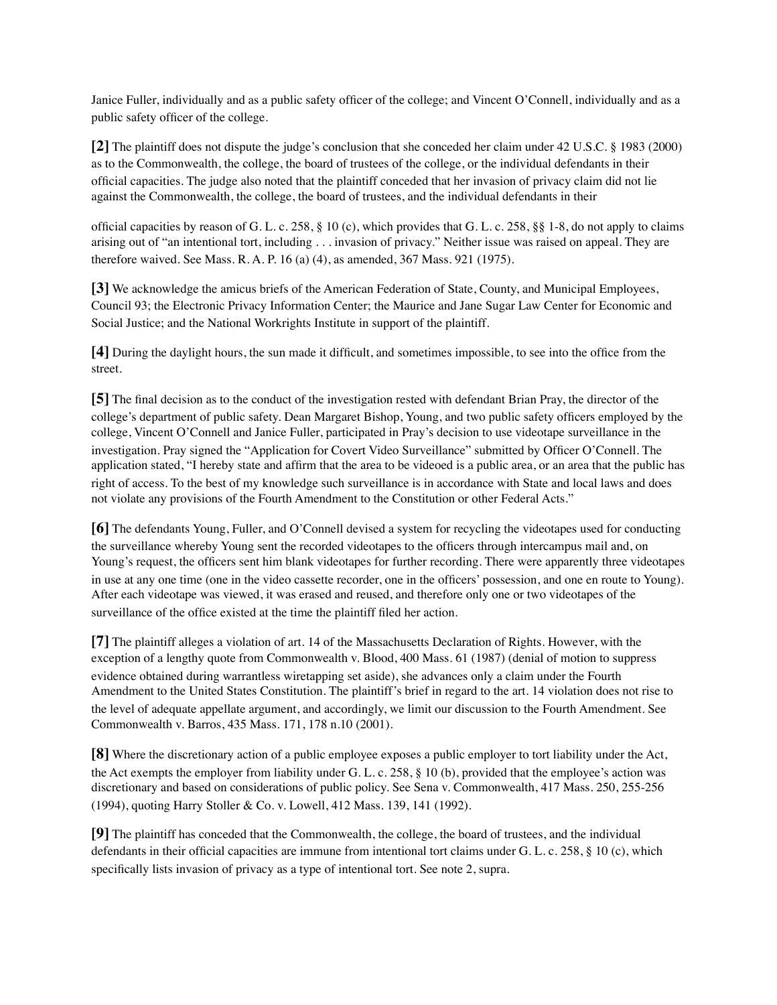Janice Fuller, individually and as a public safety officer of the college; and Vincent O'Connell, individually and as a public safety officer of the college.

**[2]** The plaintiff does not dispute the judge's conclusion that she conceded her claim under 42 U.S.C. § 1983 (2000) as to the Commonwealth, the college, the board of trustees of the college, or the individual defendants in their official capacities. The judge also noted that the plaintiff conceded that her invasion of privacy claim did not lie against the Commonwealth, the college, the board of trustees, and the individual defendants in their

official capacities by reason of G. L. c. 258,  $\S$  10 (c), which provides that G. L. c. 258,  $\S$  1-8, do not apply to claims arising out of "an intentional tort, including . . . invasion of privacy." Neither issue was raised on appeal. They are therefore waived. See Mass. R. A. P. 16 (a) (4), as amended, 367 Mass. 921 (1975).

**[3]** We acknowledge the amicus briefs of the American Federation of State, County, and Municipal Employees, Council 93; the Electronic Privacy Information Center; the Maurice and Jane Sugar Law Center for Economic and Social Justice; and the National Workrights Institute in support of the plaintiff.

**[4]** During the daylight hours, the sun made it difficult, and sometimes impossible, to see into the office from the street.

**[5]** The final decision as to the conduct of the investigation rested with defendant Brian Pray, the director of the college's department of public safety. Dean Margaret Bishop, Young, and two public safety officers employed by the college, Vincent O'Connell and Janice Fuller, participated in Pray's decision to use videotape surveillance in the investigation. Pray signed the "Application for Covert Video Surveillance" submitted by Officer O'Connell. The application stated, "I hereby state and affirm that the area to be videoed is a public area, or an area that the public has right of access. To the best of my knowledge such surveillance is in accordance with State and local laws and does not violate any provisions of the Fourth Amendment to the Constitution or other Federal Acts."

**[6]** The defendants Young, Fuller, and O'Connell devised a system for recycling the videotapes used for conducting the surveillance whereby Young sent the recorded videotapes to the officers through intercampus mail and, on Young's request, the officers sent him blank videotapes for further recording. There were apparently three videotapes in use at any one time (one in the video cassette recorder, one in the officers' possession, and one en route to Young). After each videotape was viewed, it was erased and reused, and therefore only one or two videotapes of the surveillance of the office existed at the time the plaintiff filed her action.

**[7]** The plaintiff alleges a violation of art. 14 of the Massachusetts Declaration of Rights. However, with the exception of a lengthy quote from Commonwealth v. Blood, 400 Mass. 61 (1987) (denial of motion to suppress evidence obtained during warrantless wiretapping set aside), she advances only a claim under the Fourth Amendment to the United States Constitution. The plaintiff's brief in regard to the art. 14 violation does not rise to the level of adequate appellate argument, and accordingly, we limit our discussion to the Fourth Amendment. See Commonwealth v. Barros, 435 Mass. 171, 178 n.10 (2001).

**[8]** Where the discretionary action of a public employee exposes a public employer to tort liability under the Act, the Act exempts the employer from liability under G. L. c. 258, § 10 (b), provided that the employee's action was discretionary and based on considerations of public policy. See Sena v. Commonwealth, 417 Mass. 250, 255-256 (1994), quoting Harry Stoller & Co. v. Lowell, 412 Mass. 139, 141 (1992).

**[9]** The plaintiff has conceded that the Commonwealth, the college, the board of trustees, and the individual defendants in their official capacities are immune from intentional tort claims under G. L. c. 258, § 10 (c), which specifically lists invasion of privacy as a type of intentional tort. See note 2, supra.